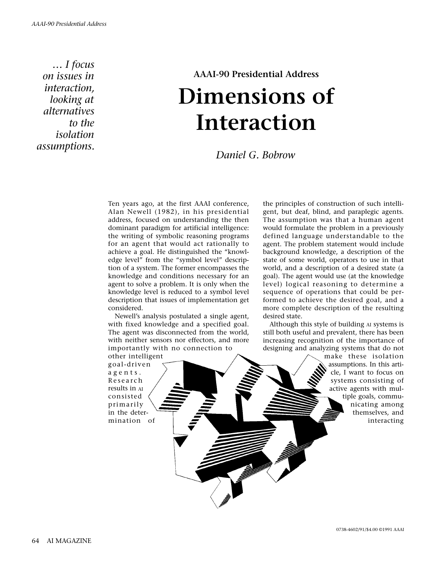*… I focus on issues in interaction, looking at alternatives to the isolation assumptions.*

# **AAAI-90 Presidential Address Dimensions of Interaction**

*Daniel G. Bobrow*

Ten years ago, at the first AAAI conference, Alan Newell (1982), in his presidential address, focused on understanding the then dominant paradigm for artificial intelligence: the writing of symbolic reasoning programs for an agent that would act rationally to achieve a goal. He distinguished the "knowledge level" from the "symbol level" description of a system. The former encompasses the knowledge and conditions necessary for an agent to solve a problem. It is only when the knowledge level is reduced to a symbol level description that issues of implementation get considered.

Newell's analysis postulated a single agent, with fixed knowledge and a specified goal. The agent was disconnected from the world, with neither sensors nor effectors, and more importantly with no connection to other intelligent

goal-driven agents. Research results in AI consisted primarily in the determination of the principles of construction of such intelligent, but deaf, blind, and paraplegic agents. The assumption was that a human agent would formulate the problem in a previously defined language understandable to the agent. The problem statement would include background knowledge, a description of the state of some world, operators to use in that world, and a description of a desired state (a goal). The agent would use (at the knowledge level) logical reasoning to determine a sequence of operations that could be performed to achieve the desired goal, and a more complete description of the resulting desired state.

Although this style of building AI systems is still both useful and prevalent, there has been increasing recognition of the importance of designing and analyzing systems that do not

> make these isolation assumptions. In this article, I want to focus on systems consisting of active agents with multiple goals, communicating among themselves, and interacting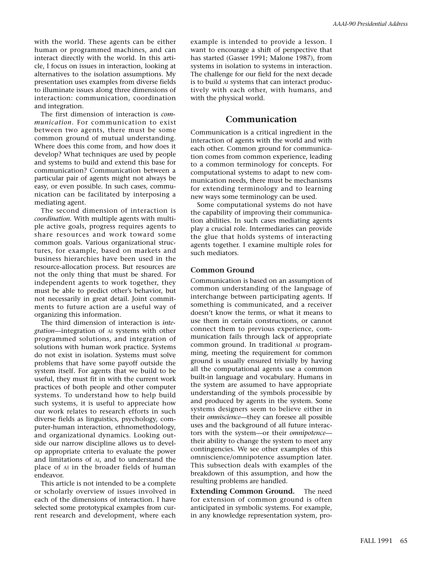with the world. These agents can be either human or programmed machines, and can interact directly with the world. In this article, I focus on issues in interaction, looking at alternatives to the isolation assumptions. My presentation uses examples from diverse fields to illuminate issues along three dimensions of interaction: communication, coordination and integration.

The first dimension of interaction is *communication*. For communication to exist between two agents, there must be some common ground of mutual understanding. Where does this come from, and how does it develop? What techniques are used by people and systems to build and extend this base for communication? Communication between a particular pair of agents might not always be easy, or even possible. In such cases, communication can be facilitated by interposing a mediating agent.

The second dimension of interaction is *coordination*. With multiple agents with multiple active goals, progress requires agents to share resources and work toward some common goals. Various organizational structures, for example, based on markets and business hierarchies have been used in the resource-allocation process. But resources are not the only thing that must be shared. For independent agents to work together, they must be able to predict other's behavior, but not necessarily in great detail. Joint commitments to future action are a useful way of organizing this information.

The third dimension of interaction is *integration*—integration of AI systems with other programmed solutions, and integration of solutions with human work practice. Systems do not exist in isolation. Systems must solve problems that have some payoff outside the system itself. For agents that we build to be useful, they must fit in with the current work practices of both people and other computer systems. To understand how to help build such systems, it is useful to appreciate how our work relates to research efforts in such diverse fields as linguistics, psychology, computer-human interaction, ethnomethodology, and organizational dynamics. Looking outside our narrow discipline allows us to develop appropriate criteria to evaluate the power and limitations of AI, and to understand the place of AI in the broader fields of human endeavor.

This article is not intended to be a complete or scholarly overview of issues involved in each of the dimensions of interaction. I have selected some prototypical examples from current research and development, where each

example is intended to provide a lesson. I want to encourage a shift of perspective that has started (Gasser 1991; Malone 1987), from systems in isolation to systems in interaction. The challenge for our field for the next decade is to build AI systems that can interact productively with each other, with humans, and with the physical world.

# **Communication**

Communication is a critical ingredient in the interaction of agents with the world and with each other. Common ground for communication comes from common experience, leading to a common terminology for concepts. For computational systems to adapt to new communication needs, there must be mechanisms for extending terminology and to learning new ways some terminology can be used.

Some computational systems do not have the capability of improving their communication abilities. In such cases mediating agents play a crucial role. Intermediaries can provide the glue that holds systems of interacting agents together. I examine multiple roles for such mediators.

# **Common Ground**

Communication is based on an assumption of common understanding of the language of interchange between participating agents. If something is communicated, and a receiver doesn't know the terms, or what it means to use them in certain constructions, or cannot connect them to previous experience, communication fails through lack of appropriate common ground. In traditional AI programming, meeting the requirement for common ground is usually ensured trivially by having all the computational agents use a common built-in language and vocabulary. Humans in the system are assumed to have appropriate understanding of the symbols processible by and produced by agents in the system. Some systems designers seem to believe either in their *omniscience*—they can foresee all possible uses and the background of all future interactors with the system—or their *omnipotence* their ability to change the system to meet any contingencies. We see other examples of this omniscience/omnipotence assumption later. This subsection deals with examples of the breakdown of this assumption, and how the resulting problems are handled.

**Extending Common Ground.** The need for extension of common ground is often anticipated in symbolic systems. For example, in any knowledge representation system, pro-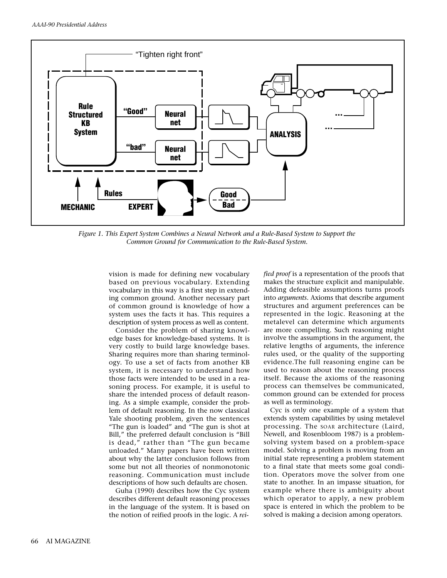

*Figure 1. This Expert System Combines a Neural Network and a Rule-Based System to Support the Common Ground for Communication to the Rule-Based System.*

vision is made for defining new vocabulary based on previous vocabulary. Extending vocabulary in this way is a first step in extending common ground. Another necessary part of common ground is knowledge of how a system uses the facts it has. This requires a description of system process as well as content.

Consider the problem of sharing knowledge bases for knowledge-based systems. It is very costly to build large knowledge bases. Sharing requires more than sharing terminology. To use a set of facts from another KB system, it is necessary to understand how those facts were intended to be used in a reasoning process. For example, it is useful to share the intended process of default reasoning. As a simple example, consider the problem of default reasoning. In the now classical Yale shooting problem, given the sentences "The gun is loaded" and "The gun is shot at Bill," the preferred default conclusion is "Bill is dead," rather than "The gun became unloaded." Many papers have been written about why the latter conclusion follows from some but not all theories of nonmonotonic reasoning. Communication must include descriptions of how such defaults are chosen.

Guha (1990) describes how the Cyc system describes different default reasoning processes in the language of the system. It is based on the notion of reified proofs in the logic. A *rei-* *fied proof* is a representation of the proofs that makes the structure explicit and manipulable. Adding defeasible assumptions turns proofs into *arguments*. Axioms that describe argument structures and argument preferences can be represented in the logic. Reasoning at the metalevel can determine which arguments are more compelling. Such reasoning might involve the assumptions in the argument, the relative lengths of arguments, the inference rules used, or the quality of the supporting evidence.The full reasoning engine can be used to reason about the reasoning process itself. Because the axioms of the reasoning process can themselves be communicated, common ground can be extended for process as well as terminology.

Cyc is only one example of a system that extends system capabilities by using metalevel processing. The SOAR architecture (Laird, Newell, and Rosenbloom 1987) is a problemsolving system based on a problem-space model. Solving a problem is moving from an initial state representing a problem statement to a final state that meets some goal condition. Operators move the solver from one state to another. In an impasse situation, for example where there is ambiguity about which operator to apply, a new problem space is entered in which the problem to be solved is making a decision among operators.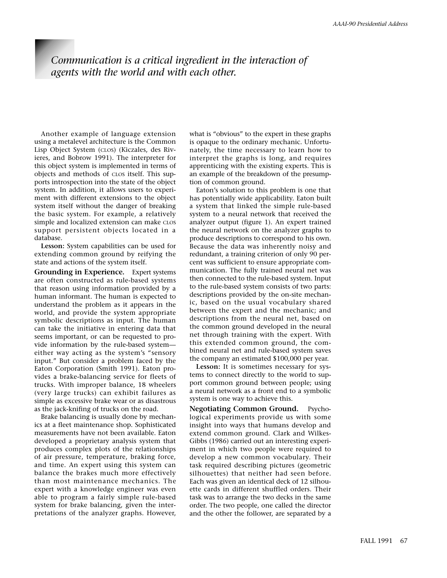# *Communication is a critical ingredient in the interaction of agents with the world and with each other.*

Another example of language extension using a metalevel architecture is the Common Lisp Object System (CLOS) (Kiczales, des Rivieres, and Bobrow 1991). The interpreter for this object system is implemented in terms of objects and methods of CLOS itself. This supports introspection into the state of the object system. In addition, it allows users to experiment with different extensions to the object system itself without the danger of breaking the basic system. For example, a relatively simple and localized extension can make CLOS support persistent objects located in a database.

**Lesson:** System capabilities can be used for extending common ground by reifying the state and actions of the system itself.

**Grounding in Experience.** Expert systems are often constructed as rule-based systems that reason using information provided by a human informant. The human is expected to understand the problem as it appears in the world, and provide the system appropriate symbolic descriptions as input. The human can take the initiative in entering data that seems important, or can be requested to provide information by the rule-based system either way acting as the system's "sensory input." But consider a problem faced by the Eaton Corporation (Smith 1991). Eaton provides a brake-balancing service for fleets of trucks. With improper balance, 18 wheelers (very large trucks) can exhibit failures as simple as excessive brake wear or as disastrous as the jack-knifing of trucks on the road.

Brake balancing is usually done by mechanics at a fleet maintenance shop. Sophisticated measurements have not been available. Eaton developed a proprietary analysis system that produces complex plots of the relationships of air pressure, temperature, braking force, and time. An expert using this system can balance the brakes much more effectively than most maintenance mechanics. The expert with a knowledge engineer was even able to program a fairly simple rule-based system for brake balancing, given the interpretations of the analyzer graphs. However,

what is "obvious" to the expert in these graphs is opaque to the ordinary mechanic. Unfortunately, the time necessary to learn how to interpret the graphs is long, and requires apprenticing with the existing experts. This is an example of the breakdown of the presumption of common ground.

Eaton's solution to this problem is one that has potentially wide applicability. Eaton built a system that linked the simple rule-based system to a neural network that received the analyzer output (figure 1). An expert trained the neural network on the analyzer graphs to produce descriptions to correspond to his own. Because the data was inherently noisy and redundant, a training criterion of only 90 percent was sufficient to ensure appropriate communication. The fully trained neural net was then connected to the rule-based system. Input to the rule-based system consists of two parts: descriptions provided by the on-site mechanic, based on the usual vocabulary shared between the expert and the mechanic; and descriptions from the neural net, based on the common ground developed in the neural net through training with the expert. With this extended common ground, the combined neural net and rule-based system saves the company an estimated \$100,000 per year.

**Lesson:** It is sometimes necessary for systems to connect directly to the world to support common ground between people; using a neural network as a front end to a symbolic system is one way to achieve this.

**Negotiating Common Ground.** Psychological experiments provide us with some insight into ways that humans develop and extend common ground. Clark and Wilkes-Gibbs (1986) carried out an interesting experiment in which two people were required to develop a new common vocabulary. Their task required describing pictures (geometric silhouettes) that neither had seen before. Each was given an identical deck of 12 silhouette cards in different shuffled orders. Their task was to arrange the two decks in the same order. The two people, one called the director and the other the follower, are separated by a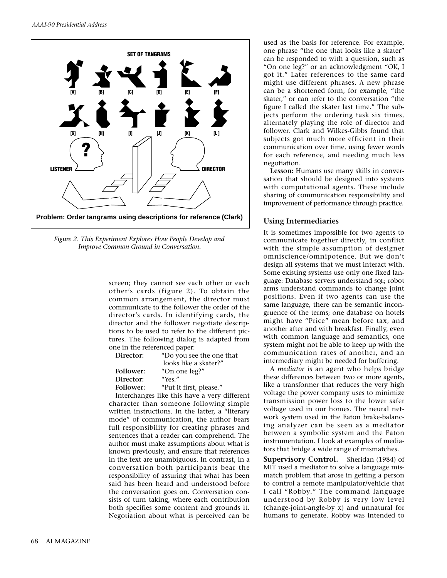

*Figure 2. This Experiment Explores How People Develop and Improve Common Ground in Conversation.*

screen; they cannot see each other or each other's cards (figure 2). To obtain the common arrangement, the director must communicate to the follower the order of the director's cards. In identifying cards, the director and the follower negotiate descriptions to be used to refer to the different pictures. The following dialog is adapted from one in the referenced paper:

| Director:        | "Do you see the one that |
|------------------|--------------------------|
|                  | looks like a skater?"    |
| <b>Follower:</b> | "On one leg?"            |
| Director:        | "Yes."                   |
| <b>Follower:</b> | "Put it first, please."  |

Interchanges like this have a very different character than someone following simple written instructions. In the latter, a "literary mode" of communication, the author bears full responsibility for creating phrases and sentences that a reader can comprehend. The author must make assumptions about what is known previously, and ensure that references in the text are unambiguous. In contrast, in a conversation both participants bear the responsibility of assuring that what has been said has been heard and understood before the conversation goes on. Conversation consists of turn taking, where each contribution both specifies some content and grounds it. Negotiation about what is perceived can be

used as the basis for reference. For example, one phrase "the one that looks like a skater" can be responded to with a question, such as "On one leg?" or an acknowledgment "OK, I got it." Later references to the same card might use different phrases. A new phrase can be a shortened form, for example, "the skater," or can refer to the conversation "the figure I called the skater last time." The subjects perform the ordering task six times, alternately playing the role of director and follower. Clark and Wilkes-Gibbs found that subjects got much more efficient in their communication over time, using fewer words for each reference, and needing much less negotiation.

**Lesson:** Humans use many skills in conversation that should be designed into systems with computational agents. These include sharing of communication responsibility and improvement of performance through practice.

## **Using Intermediaries**

It is sometimes impossible for two agents to communicate together directly, in conflict with the simple assumption of designer omniscience/omnipotence. But we don't design all systems that we must interact with. Some existing systems use only one fixed language: Database servers understand SQL; robot arms understand commands to change joint positions. Even if two agents can use the same language, there can be semantic incongruence of the terms; one database on hotels might have "Price" mean before tax, and another after and with breakfast. Finally, even with common language and semantics, one system might not be able to keep up with the communication rates of another, and an intermediary might be needed for buffering.

A *mediator* is an agent who helps bridge these differences between two or more agents, like a transformer that reduces the very high voltage the power company uses to minimize transmission power loss to the lower safer voltage used in our homes. The neural network system used in the Eaton brake-balancing analyzer can be seen as a mediator between a symbolic system and the Eaton instrumentation. I look at examples of mediators that bridge a wide range of mismatches.

**Supervisory Control.** Sheridan (1984) of MIT used a mediator to solve a language mismatch problem that arose in getting a person to control a remote manipulator/vehicle that I call "Robby." The command language understood by Robby is very low level (change-joint-angle-by x) and unnatural for humans to generate. Robby was intended to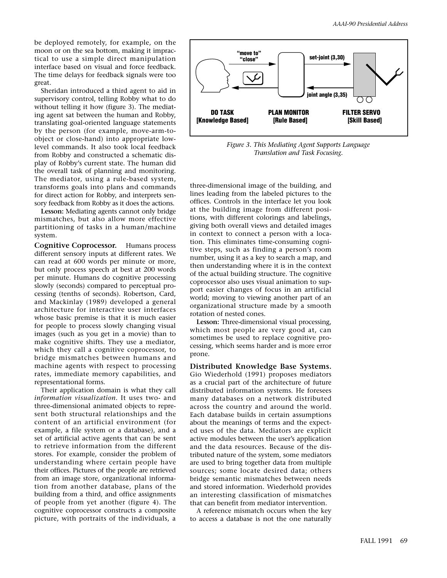be deployed remotely, for example, on the moon or on the sea bottom, making it impractical to use a simple direct manipulation interface based on visual and force feedback. The time delays for feedback signals were too great.

Sheridan introduced a third agent to aid in supervisory control, telling Robby what to do without telling it how (figure 3). The mediating agent sat between the human and Robby, translating goal-oriented language statements by the person (for example, move-arm-toobject or close-hand) into appropriate lowlevel commands. It also took local feedback from Robby and constructed a schematic display of Robby's current state. The human did the overall task of planning and monitoring. The mediator, using a rule-based system, transforms goals into plans and commands for direct action for Robby, and interprets sensory feedback from Robby as it does the actions.

**Lesson:** Mediating agents cannot only bridge mismatches, but also allow more effective partitioning of tasks in a human/machine system.

**Cognitive Coprocessor.** Humans process different sensory inputs at different rates. We can read at 600 words per minute or more, but only process speech at best at 200 words per minute. Humans do cognitive processing slowly (seconds) compared to perceptual processing (tenths of seconds). Robertson, Card, and Mackinlay (1989) developed a general architecture for interactive user interfaces whose basic premise is that it is much easier for people to process slowly changing visual images (such as you get in a movie) than to make cognitive shifts. They use a mediator, which they call a cognitive coprocessor, to bridge mismatches between humans and machine agents with respect to processing rates, immediate memory capabilities, and representational forms.

Their application domain is what they call *information visualization.* It uses two- and three-dimensional animated objects to represent both structural relationships and the content of an artificial environment (for example, a file system or a database), and a set of artificial active agents that can be sent to retrieve information from the different stores. For example, consider the problem of understanding where certain people have their offices. Pictures of the people are retrieved from an image store, organizational information from another database, plans of the building from a third, and office assignments of people from yet another (figure 4). The cognitive coprocessor constructs a composite picture, with portraits of the individuals, a



*Figure 3. This Mediating Agent Supports Language Translation and Task Focusing.*

three-dimensional image of the building, and lines leading from the labeled pictures to the offices. Controls in the interface let you look at the building image from different positions, with different colorings and labelings, giving both overall views and detailed images in context to connect a person with a location. This eliminates time-consuming cognitive steps, such as finding a person's room number, using it as a key to search a map, and then understanding where it is in the context of the actual building structure. The cognitive coprocessor also uses visual animation to support easier changes of focus in an artificial world; moving to viewing another part of an organizational structure made by a smooth rotation of nested cones.

**Lesson:** Three-dimensional visual processing, which most people are very good at, can sometimes be used to replace cognitive processing, which seems harder and is more error prone.

#### **Distributed Knowledge Base Systems.**

Gio Wiederhold (1991) proposes mediators as a crucial part of the architecture of future distributed information systems. He foresees many databases on a network distributed across the country and around the world. Each database builds in certain assumptions about the meanings of terms and the expected uses of the data. Mediators are explicit active modules between the user's application and the data resources. Because of the distributed nature of the system, some mediators are used to bring together data from multiple sources; some locate desired data; others bridge semantic mismatches between needs and stored information. Wiederhold provides an interesting classification of mismatches that can benefit from mediator intervention.

A reference mismatch occurs when the key to access a database is not the one naturally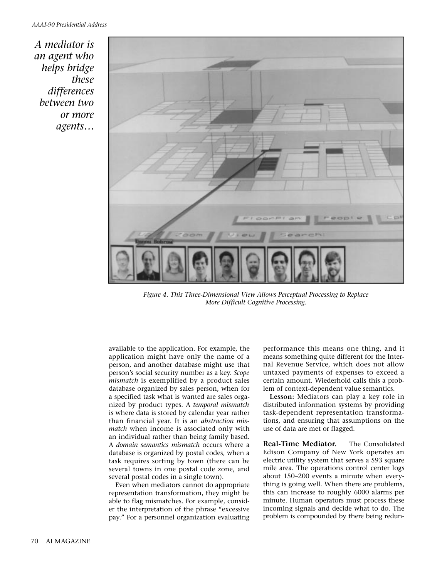*A mediator is an agent who helps bridge these differences between two or more agents…*



*Figure 4. This Three-Dimensional View Allows Perceptual Processing to Replace More Difficult Cognitive Processing.*

available to the application. For example, the application might have only the name of a person, and another database might use that person's social security number as a key. *Scope mismatch* is exemplified by a product sales database organized by sales person, when for a specified task what is wanted are sales organized by product types. A *temporal mismatch* is where data is stored by calendar year rather than financial year. It is an *abstraction mismatch* when income is associated only with an individual rather than being family based. A *domain semantics mismatch* occurs where a database is organized by postal codes, when a task requires sorting by town (there can be several towns in one postal code zone, and several postal codes in a single town).

Even when mediators cannot do appropriate representation transformation, they might be able to flag mismatches. For example, consider the interpretation of the phrase "excessive pay." For a personnel organization evaluating performance this means one thing, and it means something quite different for the Internal Revenue Service, which does not allow untaxed payments of expenses to exceed a certain amount. Wiederhold calls this a problem of context-dependent value semantics.

**Lesson:** Mediators can play a key role in distributed information systems by providing task-dependent representation transformations, and ensuring that assumptions on the use of data are met or flagged.

**Real-Time Mediator.** The Consolidated Edison Company of New York operates an electric utility system that serves a 593 square mile area. The operations control center logs about 150–200 events a minute when everything is going well. When there are problems, this can increase to roughly 6000 alarms per minute. Human operators must process these incoming signals and decide what to do. The problem is compounded by there being redun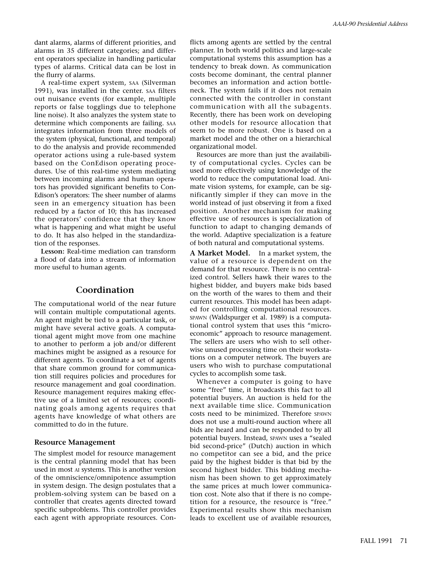dant alarms, alarms of different priorities, and alarms in 35 different categories; and different operators specialize in handling particular types of alarms. Critical data can be lost in the flurry of alarms.

A real-time expert system, SAA (Silverman 1991), was installed in the center. SAA filters out nuisance events (for example, multiple reports or false togglings due to telephone line noise). It also analyzes the system state to determine which components are failing. SAA integrates information from three models of the system (physical, functional, and temporal) to do the analysis and provide recommended operator actions using a rule-based system based on the ConEdison operating procedures. Use of this real-time system mediating between incoming alarms and human operators has provided significant benefits to Con-Edison's operators: The sheer number of alarms seen in an emergency situation has been reduced by a factor of 10; this has increased the operators' confidence that they know what is happening and what might be useful to do. It has also helped in the standardization of the responses.

**Lesson:** Real-time mediation can transform a flood of data into a stream of information more useful to human agents.

# **Coordination**

The computational world of the near future will contain multiple computational agents. An agent might be tied to a particular task, or might have several active goals. A computational agent might move from one machine to another to perform a job and/or different machines might be assigned as a resource for different agents. To coordinate a set of agents that share common ground for communication still requires policies and procedures for resource management and goal coordination. Resource management requires making effective use of a limited set of resources; coordinating goals among agents requires that agents have knowledge of what others are committed to do in the future.

## **Resource Management**

The simplest model for resource management is the central planning model that has been used in most AI systems. This is another version of the omniscience/omnipotence assumption in system design. The design postulates that a problem-solving system can be based on a controller that creates agents directed toward specific subproblems. This controller provides each agent with appropriate resources. Con-

flicts among agents are settled by the central planner. In both world politics and large-scale computational systems this assumption has a tendency to break down. As communication costs become dominant, the central planner becomes an information and action bottleneck. The system fails if it does not remain connected with the controller in constant communication with all the subagents. Recently, there has been work on developing other models for resource allocation that seem to be more robust. One is based on a market model and the other on a hierarchical organizational model.

Resources are more than just the availability of computational cycles. Cycles can be used more effectively using knowledge of the world to reduce the computational load. Animate vision systems, for example, can be significantly simpler if they can move in the world instead of just observing it from a fixed position. Another mechanism for making effective use of resources is specialization of function to adapt to changing demands of the world. Adaptive specialization is a feature of both natural and computational systems.

**A Market Model.** In a market system, the value of a resource is dependent on the demand for that resource. There is no centralized control. Sellers hawk their wares to the highest bidder, and buyers make bids based on the worth of the wares to them and their current resources. This model has been adapted for controlling computational resources. SPAWN (Waldspurger et al. 1989) is a computational control system that uses this "microeconomic" approach to resource management. The sellers are users who wish to sell otherwise unused processing time on their workstations on a computer network. The buyers are users who wish to purchase computational cycles to accomplish some task.

Whenever a computer is going to have some "free" time, it broadcasts this fact to all potential buyers. An auction is held for the next available time slice. Communication costs need to be minimized. Therefore SPAWN does not use a multi-round auction where all bids are heard and can be responded to by all potential buyers. Instead, SPAWN uses a "sealed bid second-price" (Dutch) auction in which no competitor can see a bid, and the price paid by the highest bidder is that bid by the second highest bidder. This bidding mechanism has been shown to get approximately the same prices at much lower communication cost. Note also that if there is no competition for a resource, the resource is "free." Experimental results show this mechanism leads to excellent use of available resources,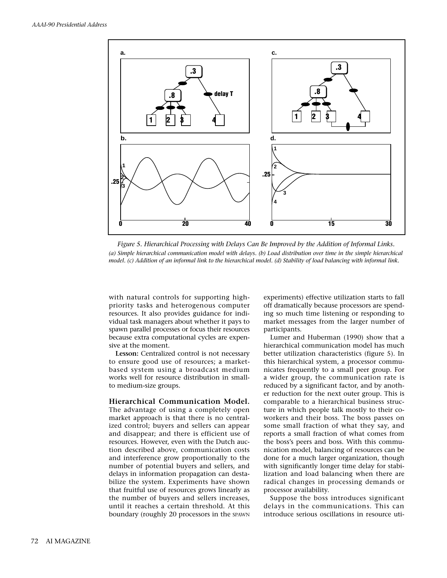

*Figure 5. Hierarchical Processing with Delays Can Be Improved by the Addition of Informal Links. (a) Simple hierarchical communication model with delays. (b) Load distribution over time in the simple hierarchical model. (c) Addition of an informal link to the hierarchical model. (d) Stability of load balancing with informal link.*

with natural controls for supporting highpriority tasks and heterogenous computer resources. It also provides guidance for individual task managers about whether it pays to spawn parallel processes or focus their resources because extra computational cycles are expensive at the moment.

**Lesson:** Centralized control is not necessary to ensure good use of resources; a marketbased system using a broadcast medium works well for resource distribution in smallto medium-size groups.

#### **Hierarchical Communication Model.**

The advantage of using a completely open market approach is that there is no centralized control; buyers and sellers can appear and disappear; and there is efficient use of resources. However, even with the Dutch auction described above, communication costs and interference grow proportionally to the number of potential buyers and sellers, and delays in information propagation can destabilize the system. Experiments have shown that fruitful use of resources grows linearly as the number of buyers and sellers increases, until it reaches a certain threshold. At this boundary (roughly 20 processors in the SPAWN

experiments) effective utilization starts to fall off dramatically because processors are spending so much time listening or responding to market messages from the larger number of participants.

Lumer and Huberman (1990) show that a hierarchical communication model has much better utilization characteristics (figure 5). In this hierarchical system, a processor communicates frequently to a small peer group. For a wider group, the communication rate is reduced by a significant factor, and by another reduction for the next outer group. This is comparable to a hierarchical business structure in which people talk mostly to their coworkers and their boss. The boss passes on some small fraction of what they say, and reports a small fraction of what comes from the boss's peers and boss. With this communication model, balancing of resources can be done for a much larger organization, though with significantly longer time delay for stabilization and load balancing when there are radical changes in processing demands or processor availability.

Suppose the boss introduces significant delays in the communications. This can introduce serious oscillations in resource uti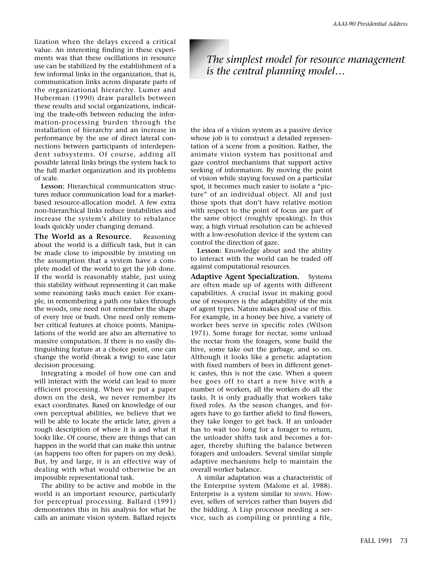lization when the delays exceed a critical value. An interesting finding in these experiments was that these oscillations in resource use can be stabilized by the establishment of a few informal links in the organization, that is, communication links across disparate parts of the organizational hierarchy. Lumer and Huberman (1990) draw parallels between these results and social organizations, indicating the trade-offs between reducing the information-processing burden through the installation of hierarchy and an increase in performance by the use of direct lateral connections between participants of interdependent subsystems. Of course, adding all possible lateral links brings the system back to the full market organization and its problems of scale.

**Lesson:** Hierarchical communication structures reduce communication load for a marketbased resource-allocation model. A few extra non-hierarchical links reduce instabilities and increase the system's ability to rebalance loads quickly under changing demand.

**The World as a Resource.** Reasoning about the world is a difficult task, but it can be made close to impossible by insisting on the assumption that a system have a complete model of the world to get the job done. If the world is reasonably stable, just using this stability without representing it can make some reasoning tasks much easier. For example, in remembering a path one takes through the woods, one need not remember the shape of every tree or bush. One need only remember critical features at choice points. Manipulations of the world are also an alternative to massive computation. If there is no easily distinguishing feature at a choice point, one can change the world (break a twig) to ease later decision processing.

Integrating a model of how one can and will interact with the world can lead to more efficient processing. When we put a paper down on the desk, we never remember its exact coordinates. Based on knowledge of our own perceptual abilities, we believe that we will be able to locate the article later, given a rough description of where it is and what it looks like. Of course, there are things that can happen in the world that can make this untrue (as happens too often for papers on my desk). But, by and large, it is an effective way of dealing with what would otherwise be an impossible representational task.

The ability to be active and mobile in the world is an important resource, particularly for perceptual processing. Ballard (1991) demonstrates this in his analysis for what he calls an animate vision system. Ballard rejects

# *The simplest model for resource management is the central planning model…*

the idea of a vision system as a passive device whose job is to construct a detailed representation of a scene from a position. Rather, the animate vision system has positional and gaze control mechanisms that support active seeking of information. By moving the point of vision while staying focused on a particular spot, it becomes much easier to isolate a "picture" of an individual object. All and just those spots that don't have relative motion with respect to the point of focus are part of the same object (roughly speaking). In this way, a high virtual resolution can be achieved with a low-resolution device if the system can control the direction of gaze.

**Lesson:** Knowledge about and the ability to interact with the world can be traded off against computational resources.

**Adaptive Agent Specialization.** Systems are often made up of agents with different capabilities. A crucial issue in making good use of resources is the adaptability of the mix of agent types. Nature makes good use of this. For example, in a honey bee hive, a variety of worker bees serve in specific roles (Wilson 1971). Some forage for nectar, some unload the nectar from the foragers, some build the hive, some take out the garbage, and so on. Although it looks like a genetic adaptation with fixed numbers of bees in different genetic castes, this is not the case. When a queen bee goes off to start a new hive with a number of workers, all the workers do all the tasks. It is only gradually that workers take fixed roles. As the season changes, and foragers have to go farther afield to find flowers, they take longer to get back. If an unloader has to wait too long for a forager to return, the unloader shifts task and becomes a forager, thereby shifting the balance between foragers and unloaders. Several similar simple adaptive mechanisms help to maintain the overall worker balance.

A similar adaptation was a characteristic of the Enterprise system (Malone et al. 1988). Enterprise is a system similar to SPAWN. However, sellers of services rather than buyers did the bidding. A Lisp processor needing a service, such as compiling or printing a file,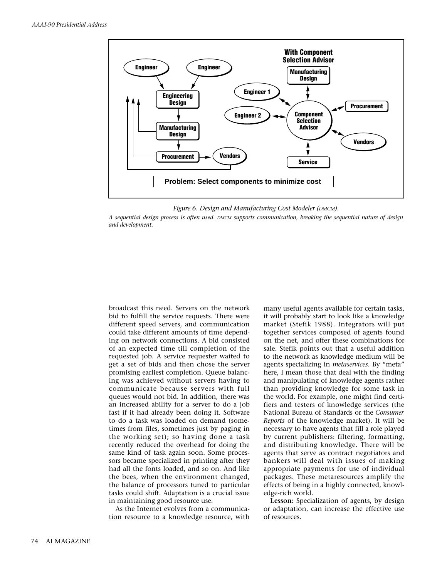

*Figure 6. Design and Manufacturing Cost Modeler (DMCM).* 

*A sequential design process is often used. DMCM supports communication, breaking the sequential nature of design and development.*

broadcast this need. Servers on the network bid to fulfill the service requests. There were different speed servers, and communication could take different amounts of time depending on network connections. A bid consisted of an expected time till completion of the requested job. A service requester waited to get a set of bids and then chose the server promising earliest completion. Queue balancing was achieved without servers having to communicate because servers with full queues would not bid. In addition, there was an increased ability for a server to do a job fast if it had already been doing it. Software to do a task was loaded on demand (sometimes from files, sometimes just by paging in the working set); so having done a task recently reduced the overhead for doing the same kind of task again soon. Some processors became specialized in printing after they had all the fonts loaded, and so on. And like the bees, when the environment changed, the balance of processors tuned to particular tasks could shift. Adaptation is a crucial issue in maintaining good resource use.

As the Internet evolves from a communication resource to a knowledge resource, with many useful agents available for certain tasks, it will probably start to look like a knowledge market (Stefik 1988). Integrators will put together services composed of agents found on the net, and offer these combinations for sale. Stefik points out that a useful addition to the network as knowledge medium will be agents specializing in *metaservices*. By "meta" here, I mean those that deal with the finding and manipulating of knowledge agents rather than providing knowledge for some task in the world. For example, one might find certifiers and testers of knowledge services (the National Bureau of Standards or the *Consumer Reports* of the knowledge market). It will be necessary to have agents that fill a role played by current publishers: filtering, formatting, and distributing knowledge. There will be agents that serve as contract negotiators and bankers will deal with issues of making appropriate payments for use of individual packages. These metaresources amplify the effects of being in a highly connected, knowledge-rich world.

**Lesson:** Specialization of agents, by design or adaptation, can increase the effective use of resources.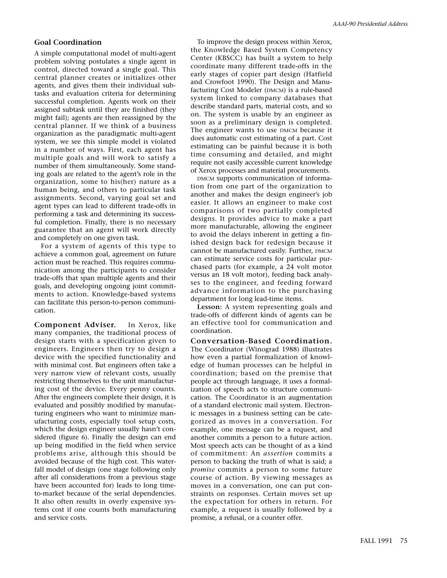## **Goal Coordination**

A simple computational model of multi-agent problem solving postulates a single agent in control, directed toward a single goal. This central planner creates or initializes other agents, and gives them their individual subtasks and evaluation criteria for determining successful completion. Agents work on their assigned subtask until they are finished (they might fail); agents are then reassigned by the central planner. If we think of a business organization as the paradigmatic multi-agent system, we see this simple model is violated in a number of ways. First, each agent has multiple goals and will work to satisfy a number of them simultaneously. Some standing goals are related to the agent's role in the organization, some to his(her) nature as a human being, and others to particular task assignments. Second, varying goal set and agent types can lead to different trade-offs in performing a task and determining its successful completion. Finally, there is no necessary guarantee that an agent will work directly and completely on one given task.

For a system of agents of this type to achieve a common goal, agreement on future action must be reached. This requires communication among the participants to consider trade-offs that span multiple agents and their goals, and developing ongoing joint commitments to action. Knowledge-based systems can facilitate this person-to-person communication.

**Component Adviser.** In Xerox, like many companies, the traditional process of design starts with a specification given to engineers. Engineers then try to design a device with the specified functionality and with minimal cost. But engineers often take a very narrow view of relevant costs, usually restricting themselves to the unit manufacturing cost of the device. Every penny counts. After the engineers complete their design, it is evaluated and possibly modified by manufacturing engineers who want to minimize manufacturing costs, especially tool setup costs, which the design engineer usually hasn't considered (figure 6). Finally the design can end up being modified in the field when service problems arise, although this should be avoided because of the high cost. This waterfall model of design (one stage following only after all considerations from a previous stage have been accounted for) leads to long timeto-market because of the serial dependencies. It also often results in overly expensive systems cost if one counts both manufacturing and service costs.

To improve the design process within Xerox, the Knowledge Based System Competency Center (KBSCC) has built a system to help coordinate many different trade-offs in the early stages of copier part design (Hatfield and Crowfoot 1990). The Design and Manufacturing Cost Modeler (DMCM) is a rule-based system linked to company databases that describe standard parts, material costs, and so on. The system is usable by an engineer as soon as a preliminary design is completed. The engineer wants to use DMCM because it does automatic cost estimating of a part. Cost estimating can be painful because it is both time consuming and detailed, and might require not easily accessible current knowledge of Xerox processes and material procurements.

DMCM supports communication of information from one part of the organization to another and makes the design engineer's job easier. It allows an engineer to make cost comparisons of two partially completed designs. It provides advice to make a part more manufacturable, allowing the engineer to avoid the delays inherent in getting a finished design back for redesign because it cannot be manufactured easily. Further, DMCM can estimate service costs for particular purchased parts (for example, a 24 volt motor versus an 18 volt motor), feeding back analyses to the engineer, and feeding forward advance information to the purchasing department for long lead-time items.

**Lesson:** A system representing goals and trade-offs of different kinds of agents can be an effective tool for communication and coordination.

**Conversation-Based Coordination.** The Coordinator (Winograd 1988) illustrates how even a partial formalization of knowledge of human processes can be helpful in coordination; based on the premise that people act through language, it uses a formalization of speech acts to structure communication. The Coordinator is an augmentation of a standard electronic mail system. Electronic messages in a business setting can be categorized as moves in a conversation. For example, one message can be a request, and another commits a person to a future action. Most speech acts can be thought of as a kind of commitment: An *assertion* commits a person to backing the truth of what is said; a *promise* commits a person to some future course of action. By viewing messages as moves in a conversation, one can put constraints on responses. Certain moves set up the expectation for others in return. For example, a request is usually followed by a promise, a refusal, or a counter offer.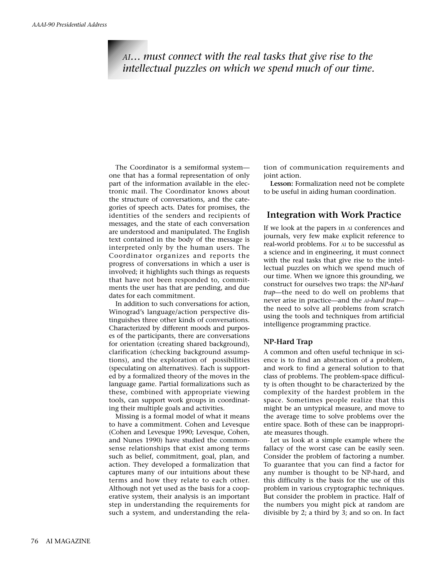# *AI… must connect with the real tasks that give rise to the intellectual puzzles on which we spend much of our time.*

The Coordinator is a semiformal system one that has a formal representation of only part of the information available in the electronic mail. The Coordinator knows about the structure of conversations, and the categories of speech acts. Dates for promises, the identities of the senders and recipients of messages, and the state of each conversation are understood and manipulated. The English text contained in the body of the message is interpreted only by the human users. The Coordinator organizes and reports the progress of conversations in which a user is involved; it highlights such things as requests that have not been responded to, commitments the user has that are pending, and due dates for each commitment.

In addition to such conversations for action, Winograd's language/action perspective distinguishes three other kinds of conversations. Characterized by different moods and purposes of the participants, there are conversations for orientation (creating shared background), clarification (checking background assumptions), and the exploration of possibilities (speculating on alternatives). Each is supported by a formalized theory of the moves in the language game. Partial formalizations such as these, combined with appropriate viewing tools, can support work groups in coordinating their multiple goals and activities.

Missing is a formal model of what it means to have a commitment. Cohen and Levesque (Cohen and Levesque 1990; Levesque, Cohen, and Nunes 1990) have studied the commonsense relationships that exist among terms such as belief, commitment, goal, plan, and action. They developed a formalization that captures many of our intuitions about these terms and how they relate to each other. Although not yet used as the basis for a cooperative system, their analysis is an important step in understanding the requirements for such a system, and understanding the relation of communication requirements and joint action.

**Lesson:** Formalization need not be complete to be useful in aiding human coordination.

# **Integration with Work Practice**

If we look at the papers in AI conferences and journals, very few make explicit reference to real-world problems. For AI to be successful as a science and in engineering, it must connect with the real tasks that give rise to the intellectual puzzles on which we spend much of our time. When we ignore this grounding, we construct for ourselves two traps: the *NP-hard trap*—the need to do well on problems that never arise in practice—and the *AI-hard trap* the need to solve all problems from scratch using the tools and techniques from artificial intelligence programming practice.

## **NP-Hard Trap**

A common and often useful technique in science is to find an abstraction of a problem, and work to find a general solution to that class of problems. The problem-space difficulty is often thought to be characterized by the complexity of the hardest problem in the space. Sometimes people realize that this might be an untypical measure, and move to the average time to solve problems over the entire space. Both of these can be inappropriate measures though.

Let us look at a simple example where the fallacy of the worst case can be easily seen. Consider the problem of factoring a number. To guarantee that you can find a factor for any number is thought to be NP-hard, and this difficulty is the basis for the use of this problem in various cryptographic techniques. But consider the problem in practice. Half of the numbers you might pick at random are divisible by 2; a third by 3; and so on. In fact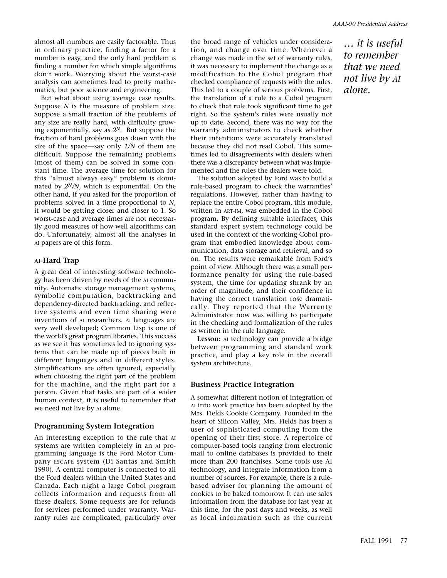almost all numbers are easily factorable. Thus in ordinary practice, finding a factor for a number is easy, and the only hard problem is finding a number for which simple algorithms don't work. Worrying about the worst-case analysis can sometimes lead to pretty mathematics, but poor science and engineering.

But what about using average case results. Suppose *N* is the measure of problem size. Suppose a small fraction of the problems of any size are really hard, with difficulty growing exponentially, say as *2N.* But suppose the fraction of hard problems goes down with the size of the space—say only *1/N* of them are difficult. Suppose the remaining problems (most of them) can be solved in some constant time. The average time for solution for this "almost always easy" problem is dominated by *2N/N*, which is exponential. On the other hand, if you asked for the proportion of problems solved in a time proportional to *N*, it would be getting closer and closer to 1. So worst-case and average times are not necessarily good measures of how well algorithms can do. Unfortunately, almost all the analyses in AI papers are of this form.

# **AI-Hard Trap**

A great deal of interesting software technology has been driven by needs of the AI community. Automatic storage management systems, symbolic computation, backtracking and dependency-directed backtracking, and reflective systems and even time sharing were inventions of AI researchers. AI languages are very well developed; Common Lisp is one of the world's great program libraries. This success as we see it has sometimes led to ignoring systems that can be made up of pieces built in different languages and in different styles. Simplifications are often ignored, especially when choosing the right part of the problem for the machine, and the right part for a person. Given that tasks are part of a wider human context, it is useful to remember that we need not live by AI alone.

# **Programming System Integration**

An interesting exception to the rule that AI systems are written completely in an AI programming language is the Ford Motor Company ESCAPE system (Di Santas and Smith 1990). A central computer is connected to all the Ford dealers within the United States and Canada. Each night a large Cobol program collects information and requests from all these dealers. Some requests are for refunds for services performed under warranty. Warranty rules are complicated, particularly over the broad range of vehicles under consideration, and change over time. Whenever a change was made in the set of warranty rules, it was necessary to implement the change as a modification to the Cobol program that checked compliance of requests with the rules. This led to a couple of serious problems. First, the translation of a rule to a Cobol program to check that rule took significant time to get right. So the system's rules were usually not up to date. Second, there was no way for the warranty administrators to check whether their intentions were accurately translated because they did not read Cobol. This sometimes led to disagreements with dealers when there was a discrepancy between what was implemented and the rules the dealers were told.

The solution adopted by Ford was to build a rule-based program to check the warranties' regulations. However, rather than having to replace the entire Cobol program, this module, written in ART-IM, was embedded in the Cobol program. By defining suitable interfaces, this standard expert system technology could be used in the context of the working Cobol program that embodied knowledge about communication, data storage and retrieval, and so on. The results were remarkable from Ford's point of view. Although there was a small performance penalty for using the rule-based system, the time for updating shrank by an order of magnitude, and their confidence in having the correct translation rose dramatically. They reported that the Warranty Administrator now was willing to participate in the checking and formalization of the rules as written in the rule language.

**Lesson:** AI technology can provide a bridge between programming and standard work practice, and play a key role in the overall system architecture.

## **Business Practice Integration**

A somewhat different notion of integration of AI into work practice has been adopted by the Mrs. Fields Cookie Company. Founded in the heart of Silicon Valley, Mrs. Fields has been a user of sophisticated computing from the opening of their first store. A repertoire of computer-based tools ranging from electronic mail to online databases is provided to their more than 200 franchises. Some tools use AI technology, and integrate information from a number of sources. For example, there is a rulebased adviser for planning the amount of cookies to be baked tomorrow. It can use sales information from the database for last year at this time, for the past days and weeks, as well as local information such as the current

*… it is useful to remember that we need not live by AI alone.*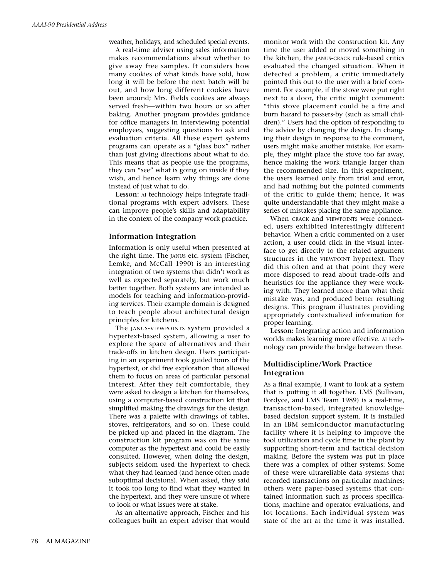weather, holidays, and scheduled special events.

A real-time adviser using sales information makes recommendations about whether to give away free samples. It considers how many cookies of what kinds have sold, how long it will be before the next batch will be out, and how long different cookies have been around; Mrs. Fields cookies are always served fresh—within two hours or so after baking. Another program provides guidance for office managers in interviewing potential employees, suggesting questions to ask and evaluation criteria. All these expert systems programs can operate as a "glass box" rather than just giving directions about what to do. This means that as people use the programs, they can "see" what is going on inside if they wish, and hence learn why things are done instead of just what to do.

**Lesson:** AI technology helps integrate traditional programs with expert advisers. These can improve people's skills and adaptability in the context of the company work practice.

#### **Information Integration**

Information is only useful when presented at the right time. The JANUS etc. system (Fischer, Lemke, and McCall 1990) is an interesting integration of two systems that didn't work as well as expected separately, but work much better together. Both systems are intended as models for teaching and information-providing services. Their example domain is designed to teach people about architectural design principles for kitchens.

The JANUS-VIEWPOINTS system provided a hypertext-based system, allowing a user to explore the space of alternatives and their trade-offs in kitchen design. Users participating in an experiment took guided tours of the hypertext, or did free exploration that allowed them to focus on areas of particular personal interest. After they felt comfortable, they were asked to design a kitchen for themselves, using a computer-based construction kit that simplified making the drawings for the design. There was a palette with drawings of tables, stoves, refrigerators, and so on. These could be picked up and placed in the diagram. The construction kit program was on the same computer as the hypertext and could be easily consulted. However, when doing the design, subjects seldom used the hypertext to check what they had learned (and hence often made suboptimal decisions). When asked, they said it took too long to find what they wanted in the hypertext, and they were unsure of where to look or what issues were at stake.

As an alternative approach, Fischer and his colleagues built an expert adviser that would monitor work with the construction kit. Any time the user added or moved something in the kitchen, the JANUS-CRACK rule-based critics evaluated the changed situation. When it detected a problem, a critic immediately pointed this out to the user with a brief comment. For example, if the stove were put right next to a door, the critic might comment: "this stove placement could be a fire and burn hazard to passers-by (such as small children)." Users had the option of responding to the advice by changing the design. In changing their design in response to the comment, users might make another mistake. For example, they might place the stove too far away, hence making the work triangle larger than the recommended size. In this experiment, the users learned only from trial and error, and had nothing but the pointed comments of the critic to guide them; hence, it was quite understandable that they might make a series of mistakes placing the same appliance.

When CRACK and VIEWPOINTS were connected, users exhibited interestingly different behavior. When a critic commented on a user action, a user could click in the visual interface to get directly to the related argument structures in the VIEWPOINT hypertext. They did this often and at that point they were more disposed to read about trade-offs and heuristics for the appliance they were working with. They learned more than what their mistake was, and produced better resulting designs. This program illustrates providing appropriately contextualized information for proper learning.

**Lesson:** Integrating action and information worlds makes learning more effective. AI technology can provide the bridge between these.

# **Multidiscipline/Work Practice Integration**

As a final example, I want to look at a system that is putting it all together. LMS (Sullivan, Fordyce, and LMS Team 1989) is a real-time, transaction-based, integrated knowledgebased decision support system. It is installed in an IBM semiconductor manufacturing facility where it is helping to improve the tool utilization and cycle time in the plant by supporting short-term and tactical decision making. Before the system was put in place there was a complex of other systems: Some of these were ultrareliable data systems that recorded transactions on particular machines; others were paper-based systems that contained information such as process specifications, machine and operator evaluations, and lot locations. Each individual system was state of the art at the time it was installed.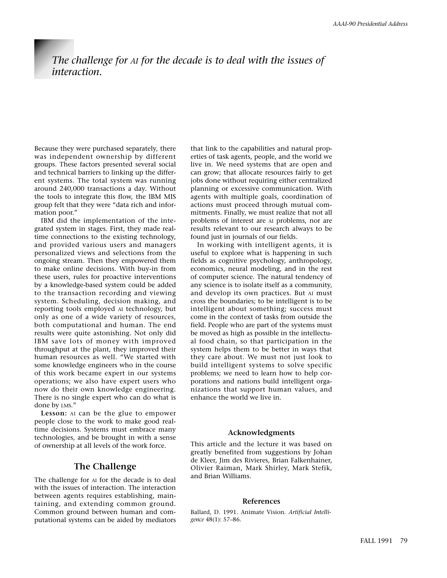# *The challenge for AI for the decade is to deal with the issues of interaction.*

Because they were purchased separately, there was independent ownership by different groups. These factors presented several social and technical barriers to linking up the different systems. The total system was running around 240,000 transactions a day. Without the tools to integrate this flow, the IBM MIS group felt that they were "data rich and information poor."

IBM did the implementation of the integrated system in stages. First, they made realtime connections to the existing technology, and provided various users and managers personalized views and selections from the ongoing stream. Then they empowered them to make online decisions. With buy-in from these users, rules for proactive interventions by a knowledge-based system could be added to the transaction recording and viewing system. Scheduling, decision making, and reporting tools employed AI technology, but only as one of a wide variety of resources, both computational and human. The end results were quite astonishing. Not only did IBM save lots of money with improved throughput at the plant, they improved their human resources as well. "We started with some knowledge engineers who in the course of this work became expert in our systems operations; we also have expert users who now do their own knowledge engineering. There is no single expert who can do what is done by LMS."

**Lesson:** AI can be the glue to empower people close to the work to make good realtime decisions. Systems must embrace many technologies, and be brought in with a sense of ownership at all levels of the work force.

# **The Challenge**

The challenge for AI for the decade is to deal with the issues of interaction. The interaction between agents requires establishing, maintaining, and extending common ground. Common ground between human and computational systems can be aided by mediators

that link to the capabilities and natural properties of task agents, people, and the world we live in. We need systems that are open and can grow; that allocate resources fairly to get jobs done without requiring either centralized planning or excessive communication. With agents with multiple goals, coordination of actions must proceed through mutual commitments. Finally, we must realize that not all problems of interest are AI problems, nor are results relevant to our research always to be found just in journals of our fields.

In working with intelligent agents, it is useful to explore what is happening in such fields as cognitive psychology, anthropology, economics, neural modeling, and in the rest of computer science. The natural tendency of any science is to isolate itself as a community, and develop its own practices. But AI must cross the boundaries; to be intelligent is to be intelligent about something; success must come in the context of tasks from outside the field. People who are part of the systems must be moved as high as possible in the intellectual food chain, so that participation in the system helps them to be better in ways that they care about. We must not just look to build intelligent systems to solve specific problems; we need to learn how to help corporations and nations build intelligent organizations that support human values, and enhance the world we live in.

#### **Acknowledgments**

This article and the lecture it was based on greatly benefited from suggestions by Johan de Kleer, Jim des Rivieres, Brian Falkenhainer, Olivier Raiman, Mark Shirley, Mark Stefik, and Brian Williams.

#### **References**

Ballard, D. 1991. Animate Vision. *Artificial Intelligence* 48(1): 57–86.